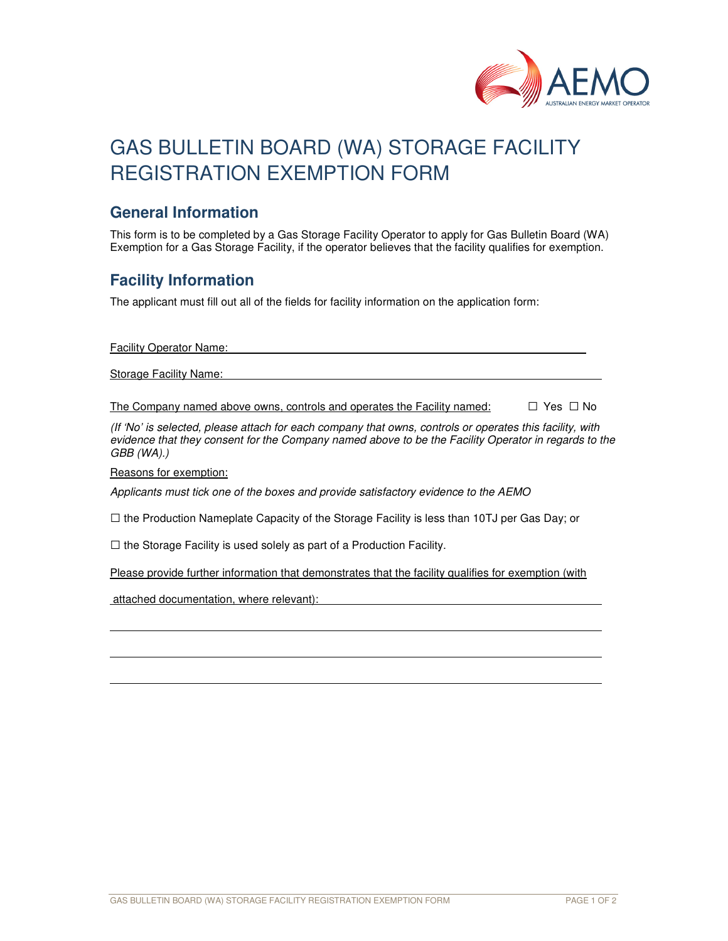

# GAS BULLETIN BOARD (WA) STORAGE FACILITY REGISTRATION EXEMPTION FORM

#### **General Information**

This form is to be completed by a Gas Storage Facility Operator to apply for Gas Bulletin Board (WA) Exemption for a Gas Storage Facility, if the operator believes that the facility qualifies for exemption.

### **Facility Information**

The applicant must fill out all of the fields for facility information on the application form:

Facility Operator Name:

Storage Facility Name:

The Company named above owns, controls and operates the Facility named:  $\Box$  Yes  $\Box$  No

(If 'No' is selected, please attach for each company that owns, controls or operates this facility, with evidence that they consent for the Company named above to be the Facility Operator in regards to the GBB (WA).)

Reasons for exemption:

l

Applicants must tick one of the boxes and provide satisfactory evidence to the AEMO

 $\square$  the Production Nameplate Capacity of the Storage Facility is less than 10TJ per Gas Day; or

 $\square$  the Storage Facility is used solely as part of a Production Facility.

Please provide further information that demonstrates that the facility qualifies for exemption (with

attached documentation, where relevant):